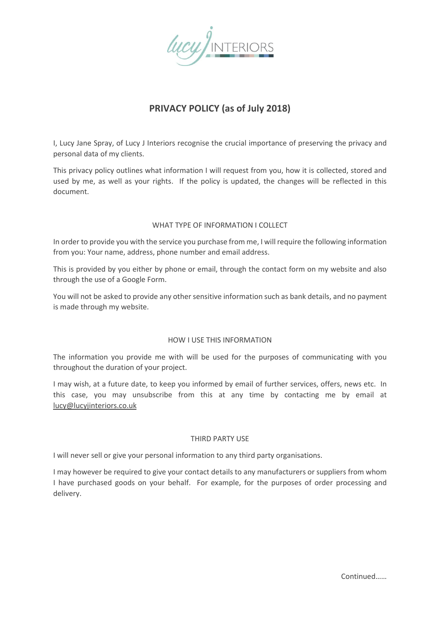

# **PRIVACY POLICY (as of July 2018)**

I, Lucy Jane Spray, of Lucy J Interiors recognise the crucial importance of preserving the privacy and personal data of my clients.

This privacy policy outlines what information I will request from you, how it is collected, stored and used by me, as well as your rights. If the policy is updated, the changes will be reflected in this document.

#### WHAT TYPE OF INFORMATION LCOLLECT

In order to provide you with the service you purchase from me, I will require the following information from you: Your name, address, phone number and email address.

This is provided by you either by phone or email, through the contact form on my website and also through the use of a Google Form.

You will not be asked to provide any other sensitive information such as bank details, and no payment is made through my website.

#### HOW I USE THIS INFORMATION

The information you provide me with will be used for the purposes of communicating with you throughout the duration of your project.

I may wish, at a future date, to keep you informed by email of further services, offers, news etc. In this case, you may unsubscribe from this at any time by contacting me by email at [lucy@lucyjinteriors.co.uk](mailto:lucy@lucyjinteriors.co.uk)

#### THIRD PARTY USE

I will never sell or give your personal information to any third party organisations.

I may however be required to give your contact details to any manufacturers or suppliers from whom I have purchased goods on your behalf. For example, for the purposes of order processing and delivery.